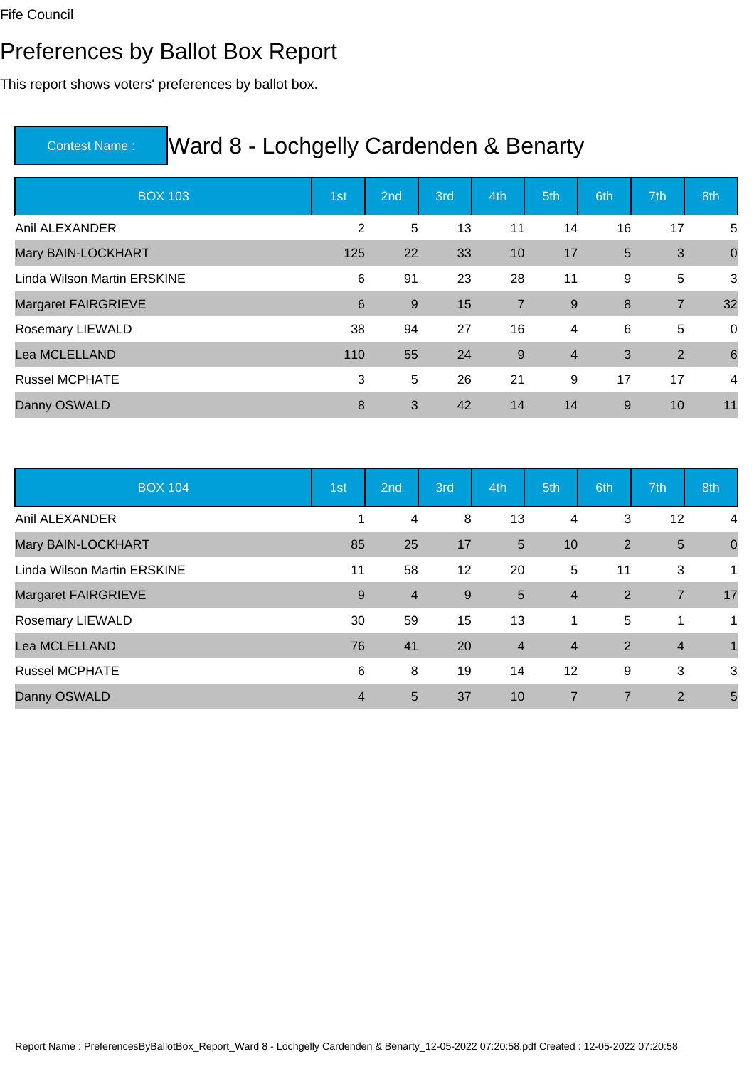#### Preferences by Ballot Box Report

This report shows voters' preferences by ballot box.

| <b>BOX 103</b>              | 1st            | 2nd | 3rd | 4th            | 5th            | 6th | 7th            | 8th             |
|-----------------------------|----------------|-----|-----|----------------|----------------|-----|----------------|-----------------|
| Anil ALEXANDER              | $\overline{2}$ | 5   | 13  | 11             | 14             | 16  | 17             | 5               |
| Mary BAIN-LOCKHART          | 125            | 22  | 33  | 10             | 17             | 5   | 3              | $\mathbf 0$     |
| Linda Wilson Martin ERSKINE | 6              | 91  | 23  | 28             | 11             | 9   | 5              | 3               |
| <b>Margaret FAIRGRIEVE</b>  | 6              | 9   | 15  | $\overline{7}$ | $9\,$          | 8   | $\overline{7}$ | 32              |
| Rosemary LIEWALD            | 38             | 94  | 27  | 16             | 4              | 6   | 5              | 0               |
| Lea MCLELLAND               | 110            | 55  | 24  | $\overline{9}$ | $\overline{4}$ | 3   | 2              | $6\phantom{1}6$ |
| <b>Russel MCPHATE</b>       | 3              | 5   | 26  | 21             | 9              | 17  | 17             | 4               |
| Danny OSWALD                | 8              | 3   | 42  | 14             | 14             | 9   | 10             | 11              |

| <b>BOX 104</b>              | 1st            | 2nd            | 3rd | 4th            | 5th            | 6th            | 7th            | 8th            |
|-----------------------------|----------------|----------------|-----|----------------|----------------|----------------|----------------|----------------|
| Anil ALEXANDER              |                | 4              | 8   | 13             | 4              | 3              | 12             | $\overline{4}$ |
| Mary BAIN-LOCKHART          | 85             | 25             | 17  | 5              | 10             | 2              | $5\phantom{1}$ | $\mathbf 0$    |
| Linda Wilson Martin ERSKINE | 11             | 58             | 12  | 20             | 5              | 11             | 3              | 1              |
| Margaret FAIRGRIEVE         | 9              | $\overline{4}$ | 9   | 5              | $\overline{4}$ | 2              | $\overline{7}$ | 17             |
| Rosemary LIEWALD            | 30             | 59             | 15  | 13             | 1              | 5              | 1              | 1              |
| Lea MCLELLAND               | 76             | 41             | 20  | $\overline{4}$ | $\overline{4}$ | 2              | $\overline{4}$ |                |
| <b>Russel MCPHATE</b>       | 6              | 8              | 19  | 14             | 12             | 9              | 3              | 3              |
| Danny OSWALD                | $\overline{4}$ | 5              | 37  | 10             | $\overline{7}$ | $\overline{7}$ | $\overline{2}$ | 5              |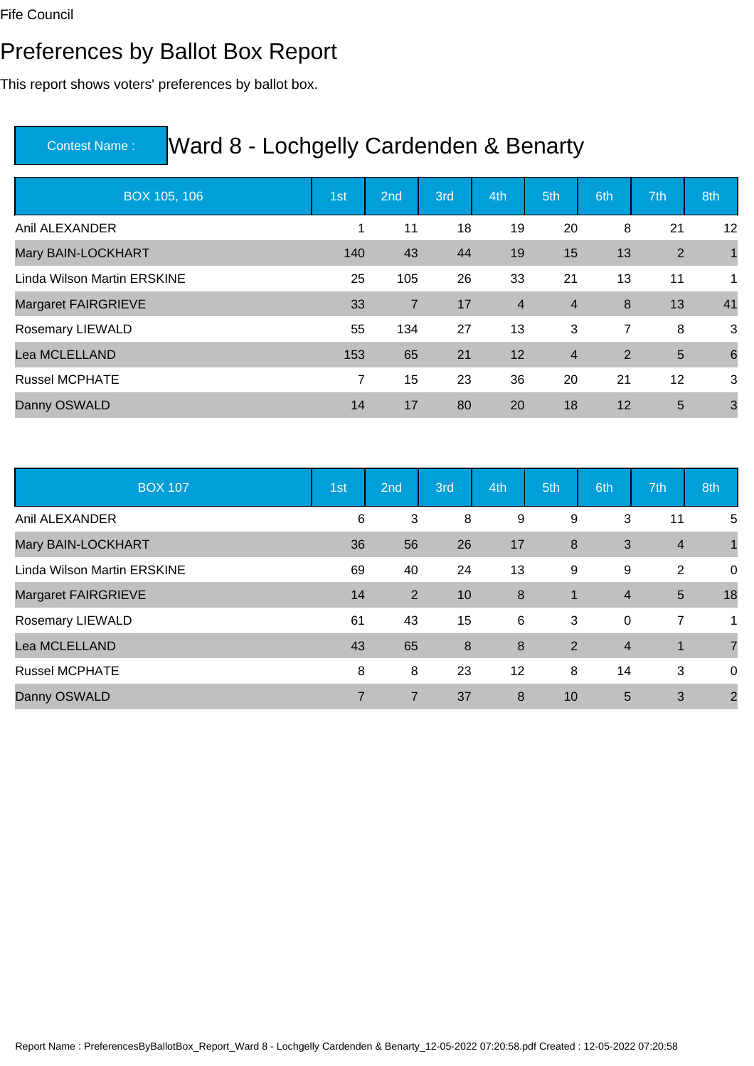#### Preferences by Ballot Box Report

This report shows voters' preferences by ballot box.

| BOX 105, 106                | 1st         | 2nd            | 3rd | 4th            | 5th            | 6th            | 7th            | 8th             |
|-----------------------------|-------------|----------------|-----|----------------|----------------|----------------|----------------|-----------------|
| Anil ALEXANDER              | $\mathbf 1$ | 11             | 18  | 19             | 20             | 8              | 21             | 12              |
| Mary BAIN-LOCKHART          | 140         | 43             | 44  | 19             | 15             | 13             | 2              | $\overline{1}$  |
| Linda Wilson Martin ERSKINE | 25          | 105            | 26  | 33             | 21             | 13             | 11             | 1               |
| <b>Margaret FAIRGRIEVE</b>  | 33          | $\overline{7}$ | 17  | $\overline{4}$ | $\overline{4}$ | 8              | 13             | 41              |
| Rosemary LIEWALD            | 55          | 134            | 27  | 13             | 3              | $\overline{7}$ | 8              | 3               |
| Lea MCLELLAND               | 153         | 65             | 21  | 12             | $\overline{4}$ | $\overline{2}$ | $5\phantom{1}$ | $6\phantom{1}6$ |
| <b>Russel MCPHATE</b>       | 7           | 15             | 23  | 36             | 20             | 21             | 12             | 3               |
| Danny OSWALD                | 14          | 17             | 80  | 20             | 18             | 12             | 5              | $\mathbf{3}$    |

| <b>BOX 107</b>              | 1st            | 2nd            | 3rd | 4th | 5th          | 6th            | 7th            | 8th            |
|-----------------------------|----------------|----------------|-----|-----|--------------|----------------|----------------|----------------|
| Anil ALEXANDER              | 6              | 3              | 8   | 9   | 9            | 3              | 11             | 5              |
| Mary BAIN-LOCKHART          | 36             | 56             | 26  | 17  | 8            | 3              | $\overline{4}$ |                |
| Linda Wilson Martin ERSKINE | 69             | 40             | 24  | 13  | 9            | 9              | 2              | 0              |
| Margaret FAIRGRIEVE         | 14             | 2              | 10  | 8   | $\mathbf{1}$ | $\overline{4}$ | $5\phantom{.}$ | 18             |
| Rosemary LIEWALD            | 61             | 43             | 15  | 6   | 3            | $\mathbf 0$    | 7              | 1              |
| Lea MCLELLAND               | 43             | 65             | 8   | 8   | 2            | $\overline{4}$ | 1              | $\overline{7}$ |
| <b>Russel MCPHATE</b>       | 8              | 8              | 23  | 12  | 8            | 14             | 3              | 0              |
| Danny OSWALD                | $\overline{7}$ | $\overline{7}$ | 37  | 8   | 10           | 5              | 3              | $\overline{2}$ |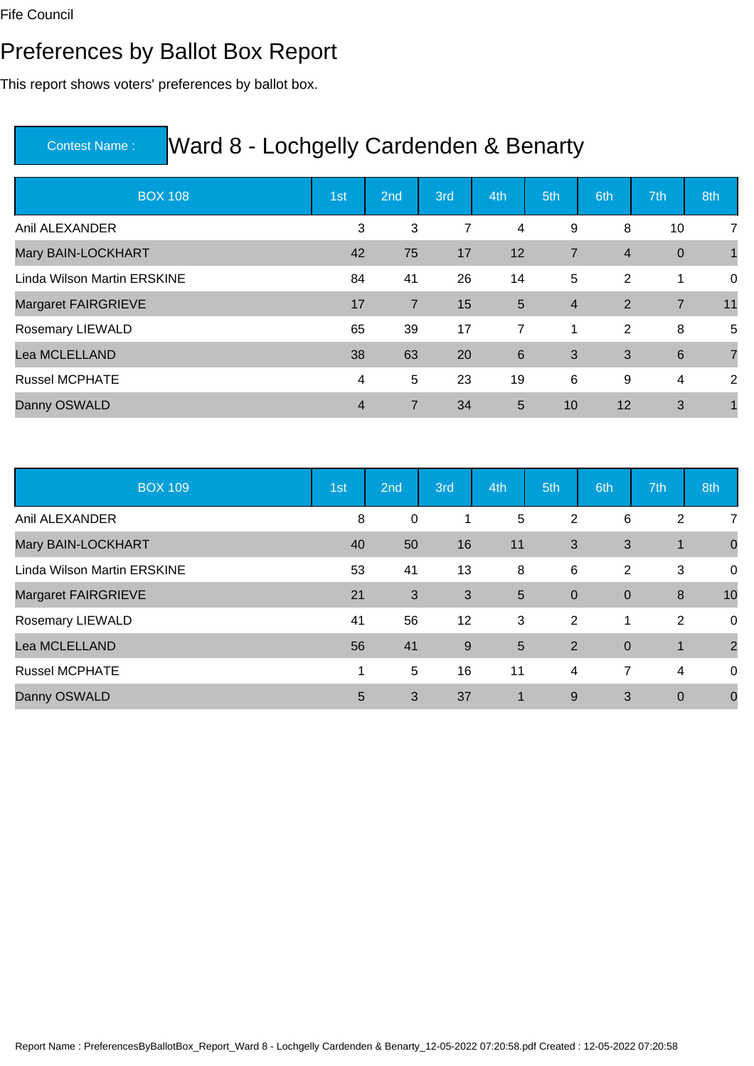#### Preferences by Ballot Box Report

This report shows voters' preferences by ballot box.

| <b>BOX 108</b>              | 1st | 2nd            | 3rd | 4th             | 5th            | 6th            | 7th              | 8th            |
|-----------------------------|-----|----------------|-----|-----------------|----------------|----------------|------------------|----------------|
| Anil ALEXANDER              | 3   | 3              | 7   | 4               | 9              | 8              | 10               | $\overline{7}$ |
| Mary BAIN-LOCKHART          | 42  | 75             | 17  | 12              | $\overline{7}$ | $\overline{4}$ | $\boldsymbol{0}$ | $\overline{1}$ |
| Linda Wilson Martin ERSKINE | 84  | 41             | 26  | 14              | 5              | 2              | 1                | $\mathsf 0$    |
| Margaret FAIRGRIEVE         | 17  | $\overline{7}$ | 15  | 5               | $\overline{4}$ | $\overline{2}$ | $\overline{7}$   | 11             |
| Rosemary LIEWALD            | 65  | 39             | 17  | 7               | 1              | 2              | 8                | 5              |
| Lea MCLELLAND               | 38  | 63             | 20  | $6\phantom{1}6$ | 3              | 3              | $6\phantom{1}6$  | $\overline{7}$ |
| <b>Russel MCPHATE</b>       | 4   | 5              | 23  | 19              | 6              | 9              | 4                | 2              |
| Danny OSWALD                | 4   | $\overline{7}$ | 34  | 5               | 10             | 12             | 3                |                |

| <b>BOX 109</b>              | 1st | 2nd          | 3rd | 4th                  | 5th            | 6th            | 7th         | 8th            |
|-----------------------------|-----|--------------|-----|----------------------|----------------|----------------|-------------|----------------|
| Anil ALEXANDER              | 8   | 0            | 1   | 5                    | $\overline{2}$ | 6              | 2           | $\overline{7}$ |
| Mary BAIN-LOCKHART          | 40  | 50           | 16  | 11                   | 3              | 3              | 1           | $\mathbf 0$    |
| Linda Wilson Martin ERSKINE | 53  | 41           | 13  | 8                    | 6              | 2              | 3           | 0              |
| Margaret FAIRGRIEVE         | 21  | $\mathbf{3}$ | 3   | 5                    | $\overline{0}$ | $\overline{0}$ | 8           | 10             |
| Rosemary LIEWALD            | 41  | 56           | 12  | 3                    | 2              | 1              | 2           | 0              |
| Lea MCLELLAND               | 56  | 41           | 9   | 5                    | 2              | $\overline{0}$ | 1           | $\overline{2}$ |
| <b>Russel MCPHATE</b>       | 1   | 5            | 16  | 11                   | $\overline{4}$ | $\overline{7}$ | 4           | 0              |
| Danny OSWALD                | 5   | 3            | 37  | $\blacktriangleleft$ | 9              | 3              | $\mathbf 0$ | $\mathbf 0$    |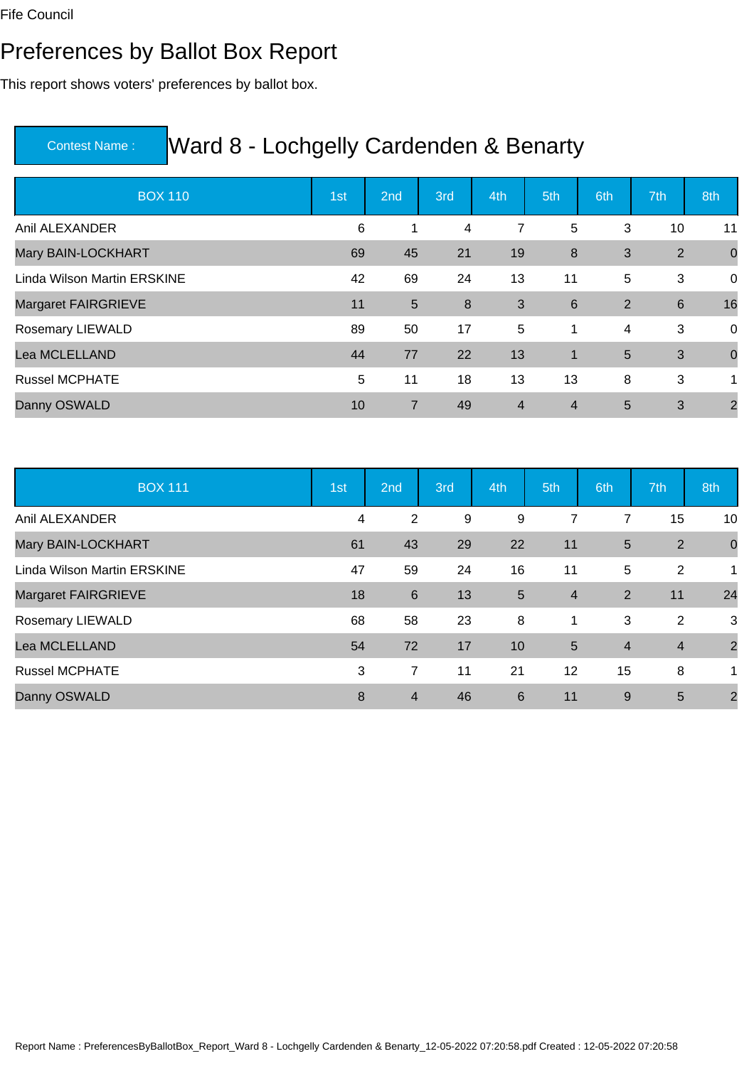#### Preferences by Ballot Box Report

This report shows voters' preferences by ballot box.

| <b>BOX 110</b>              | 1st | 2nd | 3rd | 4th            | 5th            | 6th            | 7th             | 8th            |
|-----------------------------|-----|-----|-----|----------------|----------------|----------------|-----------------|----------------|
| Anil ALEXANDER              | 6   | 1   | 4   | 7              | 5              | 3              | 10              | 11             |
| Mary BAIN-LOCKHART          | 69  | 45  | 21  | 19             | 8              | 3              | 2               | $\mathbf 0$    |
| Linda Wilson Martin ERSKINE | 42  | 69  | 24  | 13             | 11             | 5              | 3               | $\mathsf 0$    |
| <b>Margaret FAIRGRIEVE</b>  | 11  | 5   | 8   | 3              | 6              | $\overline{2}$ | $6\phantom{1}6$ | 16             |
| Rosemary LIEWALD            | 89  | 50  | 17  | 5              | 1              | 4              | 3               | 0              |
| Lea MCLELLAND               | 44  | 77  | 22  | 13             | $\overline{1}$ | 5              | 3               | $\mathbf 0$    |
| <b>Russel MCPHATE</b>       | 5   | 11  | 18  | 13             | 13             | 8              | 3               | 1              |
| Danny OSWALD                | 10  | 7   | 49  | $\overline{4}$ | $\overline{4}$ | 5              | 3               | $\overline{2}$ |

| <b>BOX 111</b>              | 1st | 2nd            | 3rd | 4th | 5th            | 6th            | 7th            | 8th            |
|-----------------------------|-----|----------------|-----|-----|----------------|----------------|----------------|----------------|
| Anil ALEXANDER              | 4   | $\overline{2}$ | 9   | 9   | $\overline{7}$ | 7              | 15             | 10             |
| Mary BAIN-LOCKHART          | 61  | 43             | 29  | 22  | 11             | 5              | 2              | $\mathbf 0$    |
| Linda Wilson Martin ERSKINE | 47  | 59             | 24  | 16  | 11             | 5              | 2              | 1              |
| Margaret FAIRGRIEVE         | 18  | $\,6\,$        | 13  | 5   | $\overline{4}$ | 2              | 11             | 24             |
| Rosemary LIEWALD            | 68  | 58             | 23  | 8   | 1              | 3              | 2              | 3              |
| Lea MCLELLAND               | 54  | 72             | 17  | 10  | 5              | $\overline{4}$ | $\overline{4}$ | $\overline{2}$ |
| <b>Russel MCPHATE</b>       | 3   | $\overline{7}$ | 11  | 21  | 12             | 15             | 8              | 1.             |
| Danny OSWALD                | 8   | $\overline{4}$ | 46  | 6   | 11             | 9              | 5              | $\overline{2}$ |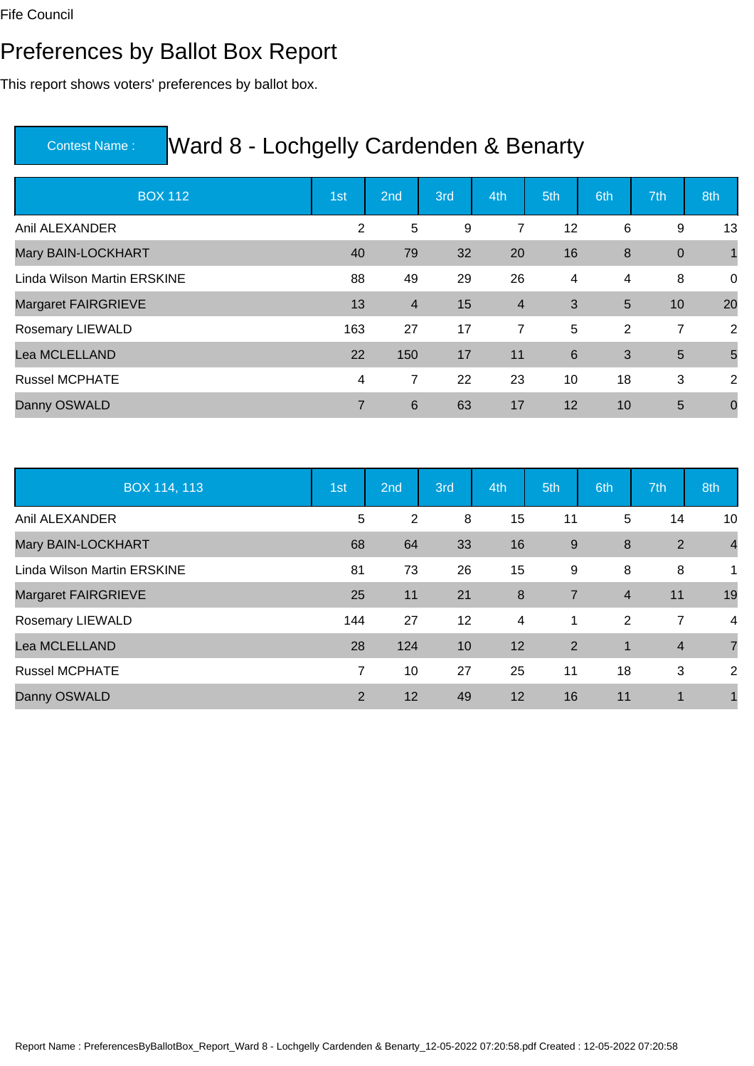#### Preferences by Ballot Box Report

This report shows voters' preferences by ballot box.

| <b>BOX 112</b>              | 1st            | 2nd            | 3rd | 4th            | 5th | 6th            | 7th              | 8th             |
|-----------------------------|----------------|----------------|-----|----------------|-----|----------------|------------------|-----------------|
| Anil ALEXANDER              | 2              | 5              | 9   | 7              | 12  | 6              | 9                | 13              |
| Mary BAIN-LOCKHART          | 40             | 79             | 32  | 20             | 16  | 8              | $\boldsymbol{0}$ | $\overline{1}$  |
| Linda Wilson Martin ERSKINE | 88             | 49             | 29  | 26             | 4   | 4              | 8                | $\mathsf 0$     |
| <b>Margaret FAIRGRIEVE</b>  | 13             | $\overline{4}$ | 15  | $\overline{4}$ | 3   | 5              | 10               | 20              |
| Rosemary LIEWALD            | 163            | 27             | 17  | 7              | 5   | $\overline{2}$ | 7                | 2               |
| Lea MCLELLAND               | 22             | 150            | 17  | 11             | 6   | 3              | 5                | $5\overline{5}$ |
| <b>Russel MCPHATE</b>       | 4              | 7              | 22  | 23             | 10  | 18             | 3                | 2               |
| Danny OSWALD                | $\overline{7}$ | 6              | 63  | 17             | 12  | 10             | 5                | $\mathbf 0$     |

| BOX 114, 113                | 1st | 2nd            | 3rd | 4th | 5th            | 6th            | 7th            | 8th            |
|-----------------------------|-----|----------------|-----|-----|----------------|----------------|----------------|----------------|
| Anil ALEXANDER              | 5   | $\overline{2}$ | 8   | 15  | 11             | 5              | 14             | 10             |
| Mary BAIN-LOCKHART          | 68  | 64             | 33  | 16  | 9              | 8              | 2              | $\overline{4}$ |
| Linda Wilson Martin ERSKINE | 81  | 73             | 26  | 15  | 9              | 8              | 8              | 1              |
| Margaret FAIRGRIEVE         | 25  | 11             | 21  | 8   | $\overline{7}$ | $\overline{4}$ | 11             | 19             |
| Rosemary LIEWALD            | 144 | 27             | 12  | 4   | 1              | 2              | 7              | 4              |
| Lea MCLELLAND               | 28  | 124            | 10  | 12  | $\overline{2}$ | $\mathbf 1$    | $\overline{4}$ | $\overline{7}$ |
| <b>Russel MCPHATE</b>       | 7   | 10             | 27  | 25  | 11             | 18             | 3              | 2              |
| Danny OSWALD                | 2   | 12             | 49  | 12  | 16             | 11             | 1              |                |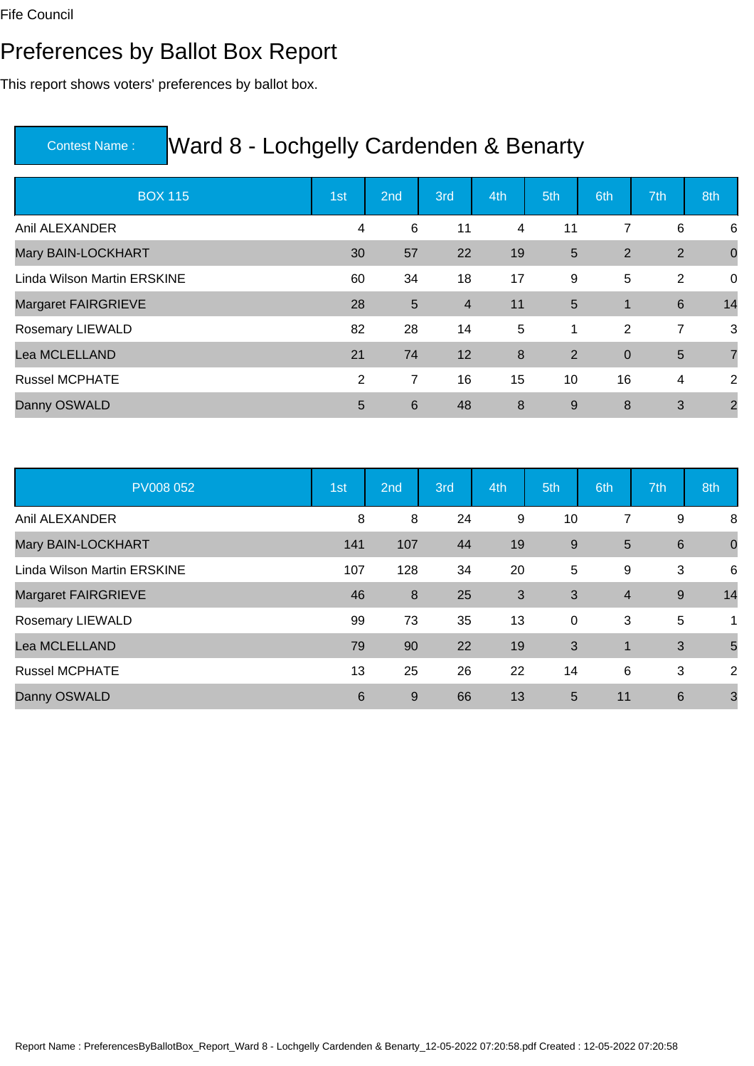#### Preferences by Ballot Box Report

This report shows voters' preferences by ballot box.

| <b>BOX 115</b>              | 1st | 2nd            | 3rd            | 4th | 5th            | 6th            | 7th            | 8th            |
|-----------------------------|-----|----------------|----------------|-----|----------------|----------------|----------------|----------------|
| Anil ALEXANDER              | 4   | 6              | 11             | 4   | 11             | 7              | 6              | 6              |
| Mary BAIN-LOCKHART          | 30  | 57             | 22             | 19  | $5\phantom{.}$ | 2              | 2              | $\overline{0}$ |
| Linda Wilson Martin ERSKINE | 60  | 34             | 18             | 17  | 9              | 5              | 2              | $\mathbf 0$    |
| <b>Margaret FAIRGRIEVE</b>  | 28  | $5\phantom{1}$ | $\overline{4}$ | 11  | $5\phantom{1}$ | $\mathbf{1}$   | 6              | 14             |
| Rosemary LIEWALD            | 82  | 28             | 14             | 5   | $\mathbf 1$    | $\overline{2}$ | $\overline{7}$ | 3              |
| Lea MCLELLAND               | 21  | 74             | 12             | 8   | $\overline{2}$ | $\mathbf 0$    | $5\phantom{1}$ | $\overline{7}$ |
| <b>Russel MCPHATE</b>       | 2   | 7              | 16             | 15  | 10             | 16             | 4              | 2              |
| Danny OSWALD                | 5   | 6              | 48             | 8   | 9              | 8              | 3              | $\overline{2}$ |

| <b>PV008 052</b>            | 1st | 2nd | 3rd | 4th | 5th | 6th            | 7th             | 8th            |
|-----------------------------|-----|-----|-----|-----|-----|----------------|-----------------|----------------|
| Anil ALEXANDER              | 8   | 8   | 24  | 9   | 10  | 7              | 9               | 8              |
| Mary BAIN-LOCKHART          | 141 | 107 | 44  | 19  | 9   | 5              | 6               | $\mathbf 0$    |
| Linda Wilson Martin ERSKINE | 107 | 128 | 34  | 20  | 5   | 9              | 3               | 6              |
| Margaret FAIRGRIEVE         | 46  | 8   | 25  | 3   | 3   | $\overline{4}$ | 9               | 14             |
| Rosemary LIEWALD            | 99  | 73  | 35  | 13  | 0   | 3              | 5               | 1              |
| Lea MCLELLAND               | 79  | 90  | 22  | 19  | 3   | $\mathbf 1$    | 3               | 5              |
| <b>Russel MCPHATE</b>       | 13  | 25  | 26  | 22  | 14  | 6              | 3               | $\overline{2}$ |
| Danny OSWALD                | 6   | 9   | 66  | 13  | 5   | 11             | $6\phantom{1}6$ | 3              |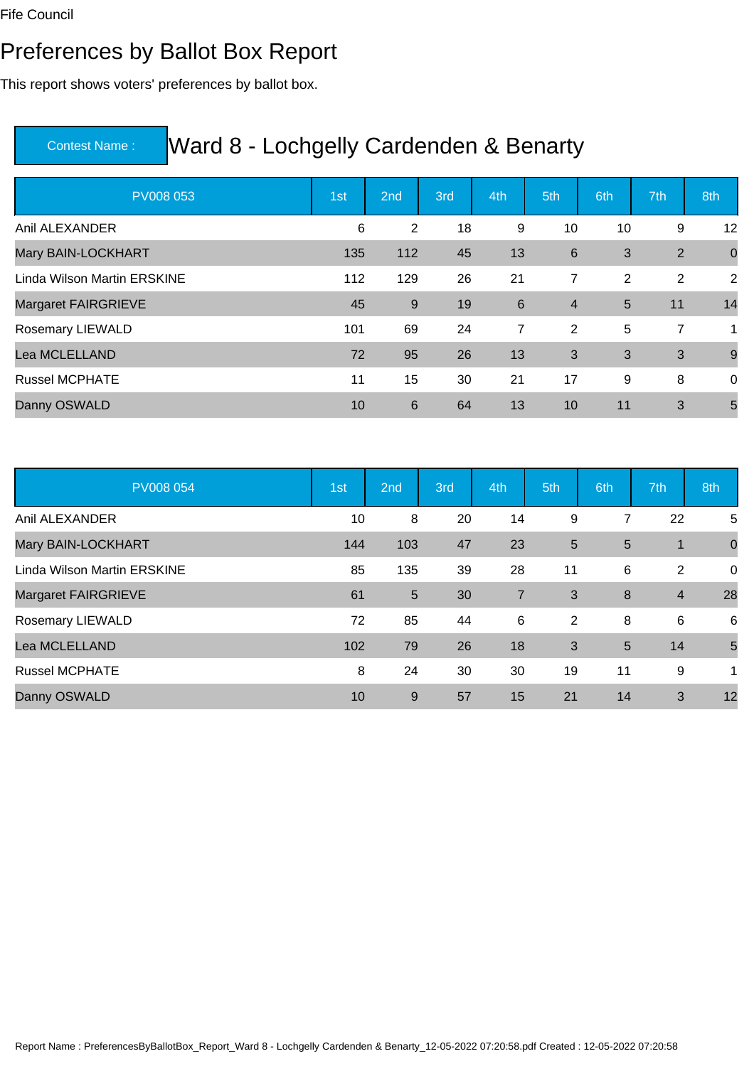#### Preferences by Ballot Box Report

This report shows voters' preferences by ballot box.

| <b>PV008 053</b>            | 1st | 2nd | 3rd | 4th            | 5th            | 6th            | 7th | 8th            |
|-----------------------------|-----|-----|-----|----------------|----------------|----------------|-----|----------------|
| Anil ALEXANDER              | 6   | 2   | 18  | 9              | 10             | 10             | 9   | 12             |
| Mary BAIN-LOCKHART          | 135 | 112 | 45  | 13             | 6              | 3              | 2   | $\overline{0}$ |
| Linda Wilson Martin ERSKINE | 112 | 129 | 26  | 21             | 7              | $\overline{2}$ | 2   | 2              |
| <b>Margaret FAIRGRIEVE</b>  | 45  | 9   | 19  | $6\phantom{1}$ | $\overline{4}$ | 5              | 11  | 14             |
| Rosemary LIEWALD            | 101 | 69  | 24  | $\overline{7}$ | 2              | 5              | 7   | 1              |
| Lea MCLELLAND               | 72  | 95  | 26  | 13             | 3              | 3              | 3   | $\overline{9}$ |
| <b>Russel MCPHATE</b>       | 11  | 15  | 30  | 21             | 17             | 9              | 8   | 0              |
| Danny OSWALD                | 10  | 6   | 64  | 13             | 10             | 11             | 3   | 5              |

| <b>PV008 054</b>            | 1st | 2nd            | 3rd | 4th            | 5th            | 6th | 7th            | 8th         |
|-----------------------------|-----|----------------|-----|----------------|----------------|-----|----------------|-------------|
| Anil ALEXANDER              | 10  | 8              | 20  | 14             | 9              | 7   | 22             | 5           |
| Mary BAIN-LOCKHART          | 144 | 103            | 47  | 23             | $5\phantom{1}$ | 5   | 1              | $\mathbf 0$ |
| Linda Wilson Martin ERSKINE | 85  | 135            | 39  | 28             | 11             | 6   | $\overline{2}$ | 0           |
| Margaret FAIRGRIEVE         | 61  | $\overline{5}$ | 30  | $\overline{7}$ | 3              | 8   | $\overline{4}$ | 28          |
| Rosemary LIEWALD            | 72  | 85             | 44  | 6              | $\overline{2}$ | 8   | 6              | 6           |
| Lea MCLELLAND               | 102 | 79             | 26  | 18             | 3              | 5   | 14             | 5           |
| <b>Russel MCPHATE</b>       | 8   | 24             | 30  | 30             | 19             | 11  | 9              | 1           |
| Danny OSWALD                | 10  | 9              | 57  | 15             | 21             | 14  | 3              | 12          |